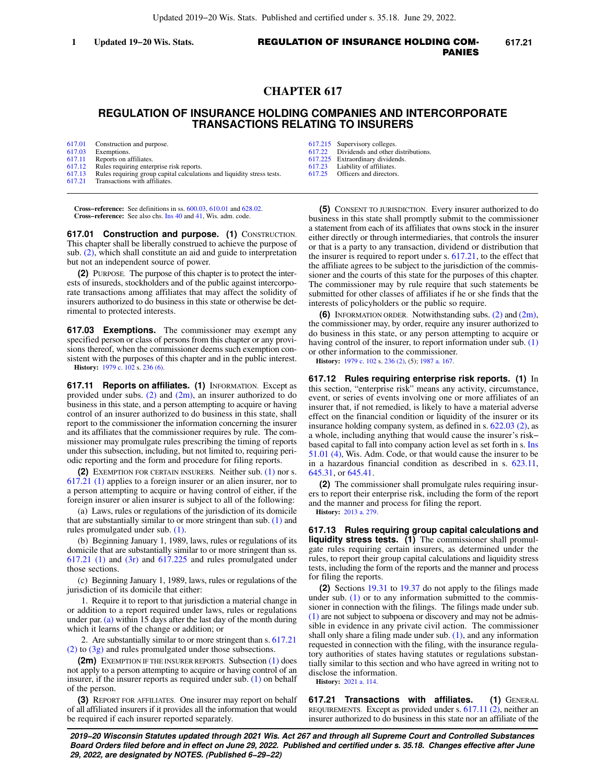# **CHAPTER 617**

# **REGULATION OF INSURANCE HOLDING COMPANIES AND INTERCORPORATE TRANSACTIONS RELATING TO INSURERS**

| 617.01 | Construction and purpose.                                              |
|--------|------------------------------------------------------------------------|
| 617.03 | Exemptions.                                                            |
| 617.11 | Reports on affiliates.                                                 |
| 617.12 | Rules requiring enterprise risk reports.                               |
| 617.13 | Rules requiring group capital calculations and liquidity stress tests. |
| 617.21 | Transactions with affiliates.                                          |

**Cross−reference:** See definitions in ss. [600.03](https://docs.legis.wisconsin.gov/document/statutes/600.03), [610.01](https://docs.legis.wisconsin.gov/document/statutes/610.01) and [628.02.](https://docs.legis.wisconsin.gov/document/statutes/628.02) **Cross−reference:** See also chs. [Ins 40](https://docs.legis.wisconsin.gov/document/administrativecode/ch.%20Ins%2040) and [41,](https://docs.legis.wisconsin.gov/document/administrativecode/ch.%20Ins%2041) Wis. adm. code.

**617.01 Construction and purpose. (1)** CONSTRUCTION. This chapter shall be liberally construed to achieve the purpose of sub. [\(2\)](https://docs.legis.wisconsin.gov/document/statutes/617.01(2)), which shall constitute an aid and guide to interpretation but not an independent source of power.

**(2)** PURPOSE. The purpose of this chapter is to protect the interests of insureds, stockholders and of the public against intercorporate transactions among affiliates that may affect the solidity of insurers authorized to do business in this state or otherwise be detrimental to protected interests.

**617.03 Exemptions.** The commissioner may exempt any specified person or class of persons from this chapter or any provisions thereof, when the commissioner deems such exemption consistent with the purposes of this chapter and in the public interest. **History:** [1979 c. 102](https://docs.legis.wisconsin.gov/document/acts/1979/102) s. [236 \(6\).](https://docs.legis.wisconsin.gov/document/acts/1979/102,%20s.%20236)

**617.11 Reports on affiliates. (1)** INFORMATION. Except as provided under subs.  $(2)$  and  $(2m)$ , an insurer authorized to do business in this state, and a person attempting to acquire or having control of an insurer authorized to do business in this state, shall report to the commissioner the information concerning the insurer and its affiliates that the commissioner requires by rule. The commissioner may promulgate rules prescribing the timing of reports under this subsection, including, but not limited to, requiring periodic reporting and the form and procedure for filing reports.

**(2)** EXEMPTION FOR CERTAIN INSURERS. Neither sub. [\(1\)](https://docs.legis.wisconsin.gov/document/statutes/617.11(1)) nor s. [617.21 \(1\)](https://docs.legis.wisconsin.gov/document/statutes/617.21(1)) applies to a foreign insurer or an alien insurer, nor to a person attempting to acquire or having control of either, if the foreign insurer or alien insurer is subject to all of the following:

(a) Laws, rules or regulations of the jurisdiction of its domicile that are substantially similar to or more stringent than sub. [\(1\)](https://docs.legis.wisconsin.gov/document/statutes/617.11(1)) and rules promulgated under sub. [\(1\)](https://docs.legis.wisconsin.gov/document/statutes/617.11(1)).

(b) Beginning January 1, 1989, laws, rules or regulations of its domicile that are substantially similar to or more stringent than ss.  $617.21$  (1) and  $(3r)$  and  $617.225$  and rules promulgated under those sections.

(c) Beginning January 1, 1989, laws, rules or regulations of the jurisdiction of its domicile that either:

1. Require it to report to that jurisdiction a material change in or addition to a report required under laws, rules or regulations under par. [\(a\)](https://docs.legis.wisconsin.gov/document/statutes/617.11(2)(a)) within 15 days after the last day of the month during which it learns of the change or addition; or

2. Are substantially similar to or more stringent than s. [617.21](https://docs.legis.wisconsin.gov/document/statutes/617.21(2)) [\(2\)](https://docs.legis.wisconsin.gov/document/statutes/617.21(2)) to [\(3g\)](https://docs.legis.wisconsin.gov/document/statutes/617.21(3g)) and rules promulgated under those subsections.

**(2m)** EXEMPTION IF THE INSURER REPORTS. Subsection [\(1\)](https://docs.legis.wisconsin.gov/document/statutes/617.11(1)) does not apply to a person attempting to acquire or having control of an insurer, if the insurer reports as required under sub. [\(1\)](https://docs.legis.wisconsin.gov/document/statutes/617.11(1)) on behalf of the person.

**(3)** REPORT FOR AFFILIATES. One insurer may report on behalf of all affiliated insurers if it provides all the information that would be required if each insurer reported separately.

- [617.215](https://docs.legis.wisconsin.gov/document/statutes/617.215) Supervisory colleges.<br>617.22 Dividends and other
- Dividends and other distributions.
- [617.225](https://docs.legis.wisconsin.gov/document/statutes/617.225) Extraordinary dividends.<br>617.23 Liability of affiliates.
- [617.23](https://docs.legis.wisconsin.gov/document/statutes/617.23) Liability of affiliates. Officers and directors.

**(5)** CONSENT TO JURISDICTION. Every insurer authorized to do business in this state shall promptly submit to the commissioner a statement from each of its affiliates that owns stock in the insurer either directly or through intermediaries, that controls the insurer or that is a party to any transaction, dividend or distribution that the insurer is required to report under s. [617.21](https://docs.legis.wisconsin.gov/document/statutes/617.21), to the effect that the affiliate agrees to be subject to the jurisdiction of the commissioner and the courts of this state for the purposes of this chapter. The commissioner may by rule require that such statements be submitted for other classes of affiliates if he or she finds that the

interests of policyholders or the public so require. **(6)** INFORMATION ORDER. Notwithstanding subs. [\(2\)](https://docs.legis.wisconsin.gov/document/statutes/617.11(2)) and [\(2m\),](https://docs.legis.wisconsin.gov/document/statutes/617.11(2m)) the commissioner may, by order, require any insurer authorized to do business in this state, or any person attempting to acquire or having control of the insurer, to report information under sub. [\(1\)](https://docs.legis.wisconsin.gov/document/statutes/617.11(1)) or other information to the commissioner.

**History:** [1979 c. 102](https://docs.legis.wisconsin.gov/document/acts/1979/102) s. [236 \(2\)](https://docs.legis.wisconsin.gov/document/acts/1979/102,%20s.%20236), (5); [1987 a. 167](https://docs.legis.wisconsin.gov/document/acts/1987/167).

**617.12 Rules requiring enterprise risk reports. (1)** In this section, "enterprise risk" means any activity, circumstance, event, or series of events involving one or more affiliates of an insurer that, if not remedied, is likely to have a material adverse effect on the financial condition or liquidity of the insurer or its insurance holding company system, as defined in s. [622.03 \(2\),](https://docs.legis.wisconsin.gov/document/statutes/622.03(2)) as a whole, including anything that would cause the insurer's risk− based capital to fall into company action level as set forth in s. [Ins](https://docs.legis.wisconsin.gov/document/administrativecode/Ins%2051.01(4)) [51.01 \(4\)](https://docs.legis.wisconsin.gov/document/administrativecode/Ins%2051.01(4)), Wis. Adm. Code, or that would cause the insurer to be in a hazardous financial condition as described in s. [623.11,](https://docs.legis.wisconsin.gov/document/statutes/623.11) [645.31,](https://docs.legis.wisconsin.gov/document/statutes/645.31) or [645.41](https://docs.legis.wisconsin.gov/document/statutes/645.41).

**(2)** The commissioner shall promulgate rules requiring insurers to report their enterprise risk, including the form of the report and the manner and process for filing the report.

**History:** [2013 a. 279.](https://docs.legis.wisconsin.gov/document/acts/2013/279)

**617.13 Rules requiring group capital calculations and liquidity stress tests. (1)** The commissioner shall promulgate rules requiring certain insurers, as determined under the rules, to report their group capital calculations and liquidity stress tests, including the form of the reports and the manner and process for filing the reports.

**(2)** Sections [19.31](https://docs.legis.wisconsin.gov/document/statutes/19.31) to [19.37](https://docs.legis.wisconsin.gov/document/statutes/19.37) do not apply to the filings made under sub. [\(1\)](https://docs.legis.wisconsin.gov/document/statutes/617.13(1)) or to any information submitted to the commissioner in connection with the filings. The filings made under sub. [\(1\)](https://docs.legis.wisconsin.gov/document/statutes/617.13(1)) are not subject to subpoena or discovery and may not be admissible in evidence in any private civil action. The commissioner shall only share a filing made under sub. [\(1\),](https://docs.legis.wisconsin.gov/document/statutes/617.13(1)) and any information requested in connection with the filing, with the insurance regulatory authorities of states having statutes or regulations substantially similar to this section and who have agreed in writing not to disclose the information.

**History:** [2021 a. 114](https://docs.legis.wisconsin.gov/document/acts/2021/114).

**617.21 Transactions with affiliates. (1)** GENERAL REQUIREMENTS. Except as provided under s. [617.11 \(2\)](https://docs.legis.wisconsin.gov/document/statutes/617.11(2)), neither an insurer authorized to do business in this state nor an affiliate of the

**2019−20 Wisconsin Statutes updated through 2021 Wis. Act 267 and through all Supreme Court and Controlled Substances Board Orders filed before and in effect on June 29, 2022. Published and certified under s. 35.18. Changes effective after June 29, 2022, are designated by NOTES. (Published 6−29−22)**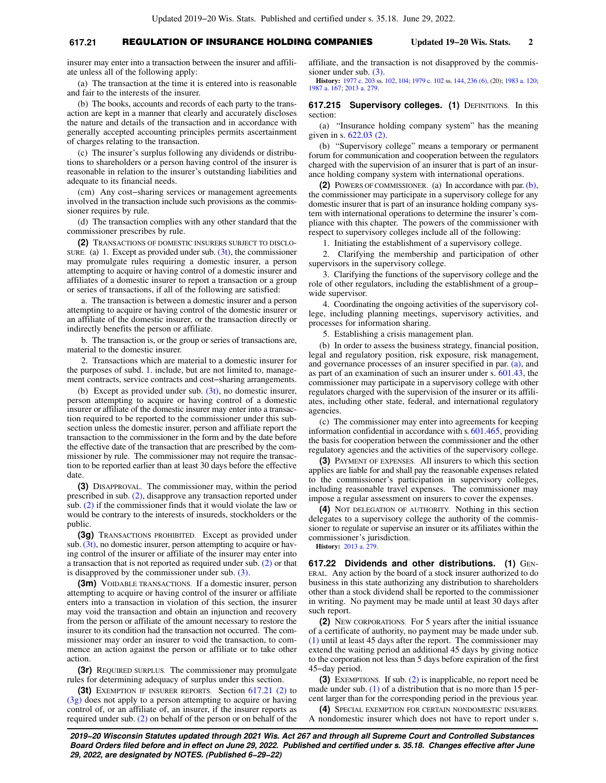## **617.21** REGULATION OF INSURANCE HOLDING COMPANIES **Updated 19−20 Wis. Stats. 2**

insurer may enter into a transaction between the insurer and affiliate unless all of the following apply:

(a) The transaction at the time it is entered into is reasonable and fair to the interests of the insurer.

(b) The books, accounts and records of each party to the transaction are kept in a manner that clearly and accurately discloses the nature and details of the transaction and in accordance with generally accepted accounting principles permits ascertainment of charges relating to the transaction.

(c) The insurer's surplus following any dividends or distributions to shareholders or a person having control of the insurer is reasonable in relation to the insurer's outstanding liabilities and adequate to its financial needs.

(cm) Any cost−sharing services or management agreements involved in the transaction include such provisions as the commissioner requires by rule.

(d) The transaction complies with any other standard that the commissioner prescribes by rule.

**(2)** TRANSACTIONS OF DOMESTIC INSURERS SUBJECT TO DISCLO-SURE. (a) 1. Except as provided under sub.  $(3t)$ , the commissioner may promulgate rules requiring a domestic insurer, a person attempting to acquire or having control of a domestic insurer and affiliates of a domestic insurer to report a transaction or a group or series of transactions, if all of the following are satisfied:

a. The transaction is between a domestic insurer and a person attempting to acquire or having control of the domestic insurer or an affiliate of the domestic insurer, or the transaction directly or indirectly benefits the person or affiliate.

b. The transaction is, or the group or series of transactions are, material to the domestic insurer.

2. Transactions which are material to a domestic insurer for the purposes of subd. [1.](https://docs.legis.wisconsin.gov/document/statutes/617.21(2)(a)1.) include, but are not limited to, management contracts, service contracts and cost−sharing arrangements.

(b) Except as provided under sub. [\(3t\)](https://docs.legis.wisconsin.gov/document/statutes/617.21(3t)), no domestic insurer, person attempting to acquire or having control of a domestic insurer or affiliate of the domestic insurer may enter into a transaction required to be reported to the commissioner under this subsection unless the domestic insurer, person and affiliate report the transaction to the commissioner in the form and by the date before the effective date of the transaction that are prescribed by the commissioner by rule. The commissioner may not require the transaction to be reported earlier than at least 30 days before the effective date.

**(3)** DISAPPROVAL. The commissioner may, within the period prescribed in sub. [\(2\)](https://docs.legis.wisconsin.gov/document/statutes/617.21(2)), disapprove any transaction reported under sub. [\(2\)](https://docs.legis.wisconsin.gov/document/statutes/617.21(2)) if the commissioner finds that it would violate the law or would be contrary to the interests of insureds, stockholders or the public.

**(3g)** TRANSACTIONS PROHIBITED. Except as provided under sub.  $(3t)$ , no domestic insurer, person attempting to acquire or having control of the insurer or affiliate of the insurer may enter into a transaction that is not reported as required under sub. [\(2\)](https://docs.legis.wisconsin.gov/document/statutes/617.21(2)) or that is disapproved by the commissioner under sub. [\(3\).](https://docs.legis.wisconsin.gov/document/statutes/617.21(3))

**(3m)** VOIDABLE TRANSACTIONS. If a domestic insurer, person attempting to acquire or having control of the insurer or affiliate enters into a transaction in violation of this section, the insurer may void the transaction and obtain an injunction and recovery from the person or affiliate of the amount necessary to restore the insurer to its condition had the transaction not occurred. The commissioner may order an insurer to void the transaction, to commence an action against the person or affiliate or to take other action.

**(3r)** REQUIRED SURPLUS. The commissioner may promulgate rules for determining adequacy of surplus under this section.

**(3t)** EXEMPTION IF INSURER REPORTS. Section [617.21 \(2\)](https://docs.legis.wisconsin.gov/document/statutes/617.21(2)) to [\(3g\)](https://docs.legis.wisconsin.gov/document/statutes/617.21(3g)) does not apply to a person attempting to acquire or having control of, or an affiliate of, an insurer, if the insurer reports as required under sub. [\(2\)](https://docs.legis.wisconsin.gov/document/statutes/617.21(2)) on behalf of the person or on behalf of the affiliate, and the transaction is not disapproved by the commissioner under sub. [\(3\).](https://docs.legis.wisconsin.gov/document/statutes/617.21(3))

**History:** [1977 c. 203](https://docs.legis.wisconsin.gov/document/acts/1977/203) ss. [102](https://docs.legis.wisconsin.gov/document/acts/1977/203,%20s.%20102), [104](https://docs.legis.wisconsin.gov/document/acts/1977/203,%20s.%20104); [1979 c. 102](https://docs.legis.wisconsin.gov/document/acts/1979/102) ss. [144](https://docs.legis.wisconsin.gov/document/acts/1979/102,%20s.%20144), [236 \(6\)](https://docs.legis.wisconsin.gov/document/acts/1979/102,%20s.%20236), (20); [1983 a. 120](https://docs.legis.wisconsin.gov/document/acts/1983/120); [1987 a. 167;](https://docs.legis.wisconsin.gov/document/acts/1987/167) [2013 a. 279.](https://docs.legis.wisconsin.gov/document/acts/2013/279)

### **617.215 Supervisory colleges. (1) DEFINITIONS. In this** section:

(a) "Insurance holding company system" has the meaning given in s. [622.03 \(2\)](https://docs.legis.wisconsin.gov/document/statutes/622.03(2)).

(b) "Supervisory college" means a temporary or permanent forum for communication and cooperation between the regulators charged with the supervision of an insurer that is part of an insurance holding company system with international operations.

**(2)** POWERS OF COMMISSIONER. (a) In accordance with par. [\(b\),](https://docs.legis.wisconsin.gov/document/statutes/617.215(2)(b)) the commissioner may participate in a supervisory college for any domestic insurer that is part of an insurance holding company system with international operations to determine the insurer's compliance with this chapter. The powers of the commissioner with respect to supervisory colleges include all of the following:

1. Initiating the establishment of a supervisory college.

2. Clarifying the membership and participation of other supervisors in the supervisory college.

3. Clarifying the functions of the supervisory college and the role of other regulators, including the establishment of a group− wide supervisor.

4. Coordinating the ongoing activities of the supervisory college, including planning meetings, supervisory activities, and processes for information sharing.

5. Establishing a crisis management plan.

(b) In order to assess the business strategy, financial position, legal and regulatory position, risk exposure, risk management, and governance processes of an insurer specified in par. [\(a\),](https://docs.legis.wisconsin.gov/document/statutes/617.215(2)(a)) and as part of an examination of such an insurer under s. [601.43,](https://docs.legis.wisconsin.gov/document/statutes/601.43) the commissioner may participate in a supervisory college with other regulators charged with the supervision of the insurer or its affiliates, including other state, federal, and international regulatory agencies.

(c) The commissioner may enter into agreements for keeping information confidential in accordance with s. [601.465](https://docs.legis.wisconsin.gov/document/statutes/601.465), providing the basis for cooperation between the commissioner and the other regulatory agencies and the activities of the supervisory college.

**(3)** PAYMENT OF EXPENSES. All insurers to which this section applies are liable for and shall pay the reasonable expenses related to the commissioner's participation in supervisory colleges, including reasonable travel expenses. The commissioner may impose a regular assessment on insurers to cover the expenses.

**(4)** NOT DELEGATION OF AUTHORITY. Nothing in this section delegates to a supervisory college the authority of the commissioner to regulate or supervise an insurer or its affiliates within the commissioner's jurisdiction.

**History:** [2013 a. 279.](https://docs.legis.wisconsin.gov/document/acts/2013/279)

**617.22 Dividends and other distributions. (1)** GEN-ERAL. Any action by the board of a stock insurer authorized to do business in this state authorizing any distribution to shareholders other than a stock dividend shall be reported to the commissioner in writing. No payment may be made until at least 30 days after such report.

**(2)** NEW CORPORATIONS. For 5 years after the initial issuance of a certificate of authority, no payment may be made under sub. [\(1\)](https://docs.legis.wisconsin.gov/document/statutes/617.22(1)) until at least 45 days after the report. The commissioner may extend the waiting period an additional 45 days by giving notice to the corporation not less than 5 days before expiration of the first 45−day period.

**(3)** EXEMPTIONS. If sub. [\(2\)](https://docs.legis.wisconsin.gov/document/statutes/617.22(2)) is inapplicable, no report need be made under sub. [\(1\)](https://docs.legis.wisconsin.gov/document/statutes/617.22(1)) of a distribution that is no more than 15 percent larger than for the corresponding period in the previous year.

**(4)** SPECIAL EXEMPTION FOR CERTAIN NONDOMESTIC INSURERS. A nondomestic insurer which does not have to report under s.

**2019−20 Wisconsin Statutes updated through 2021 Wis. Act 267 and through all Supreme Court and Controlled Substances Board Orders filed before and in effect on June 29, 2022. Published and certified under s. 35.18. Changes effective after June 29, 2022, are designated by NOTES. (Published 6−29−22)**